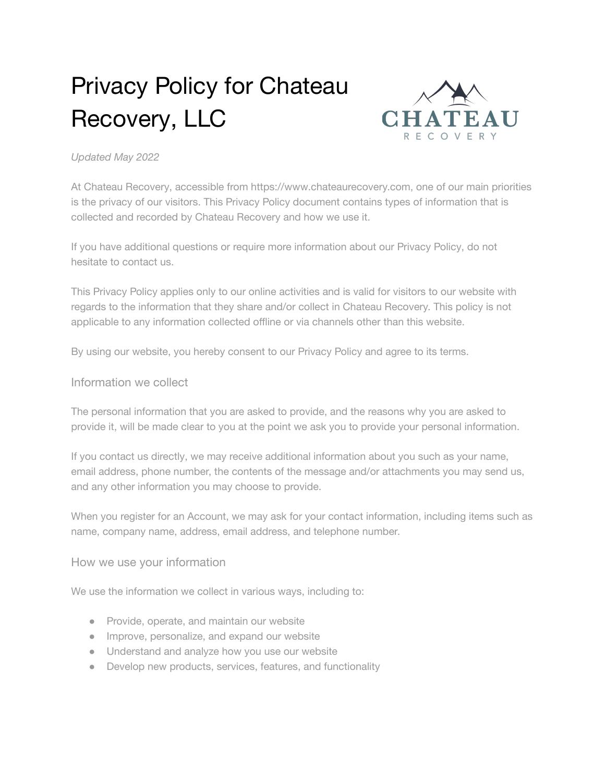# Privacy Policy for Chateau Recovery, LLC



#### *Updated May 2022*

At Chateau Recovery, accessible from https://www.chateaurecovery.com, one of our main priorities is the privacy of our visitors. This Privacy Policy document contains types of information that is collected and recorded by Chateau Recovery and how we use it.

If you have additional questions or require more information about our Privacy Policy, do not hesitate to contact us.

This Privacy Policy applies only to our online activities and is valid for visitors to our website with regards to the information that they share and/or collect in Chateau Recovery. This policy is not applicable to any information collected offline or via channels other than this website.

By using our website, you hereby consent to our Privacy Policy and agree to its terms.

#### Information we collect

The personal information that you are asked to provide, and the reasons why you are asked to provide it, will be made clear to you at the point we ask you to provide your personal information.

If you contact us directly, we may receive additional information about you such as your name, email address, phone number, the contents of the message and/or attachments you may send us, and any other information you may choose to provide.

When you register for an Account, we may ask for your contact information, including items such as name, company name, address, email address, and telephone number.

#### How we use your information

We use the information we collect in various ways, including to:

- Provide, operate, and maintain our website
- Improve, personalize, and expand our website
- Understand and analyze how you use our website
- Develop new products, services, features, and functionality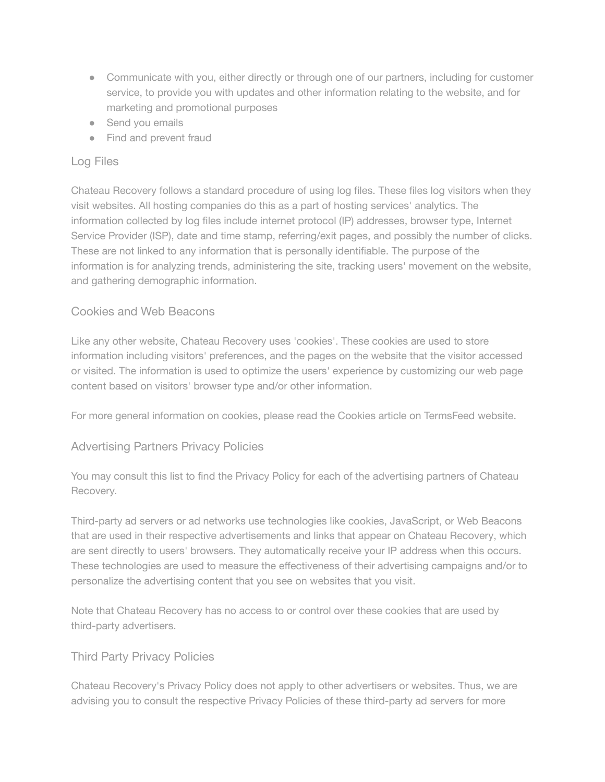- Communicate with you, either directly or through one of our partners, including for customer service, to provide you with updates and other information relating to the website, and for marketing and promotional purposes
- Send you emails
- Find and prevent fraud

# Log Files

Chateau Recovery follows a standard procedure of using log files. These files log visitors when they visit websites. All hosting companies do this as a part of hosting services' analytics. The information collected by log files include internet protocol (IP) addresses, browser type, Internet Service Provider (ISP), date and time stamp, referring/exit pages, and possibly the number of clicks. These are not linked to any information that is personally identifiable. The purpose of the information is for analyzing trends, administering the site, tracking users' movement on the website, and gathering demographic information.

## Cookies and Web Beacons

Like any other website, Chateau Recovery uses 'cookies'. These cookies are used to store information including visitors' preferences, and the pages on the website that the visitor accessed or visited. The information is used to optimize the users' experience by customizing our web page content based on visitors' browser type and/or other information.

For more general information on cookies, please read [the Cookies article on TermsFeed website.](https://www.termsfeed.com/blog/sample-cookies-policy-template/#What_Are_Cookies)

## Advertising Partners Privacy Policies

You may consult this list to find the Privacy Policy for each of the advertising partners of Chateau Recovery.

Third-party ad servers or ad networks use technologies like cookies, JavaScript, or Web Beacons that are used in their respective advertisements and links that appear on Chateau Recovery, which are sent directly to users' browsers. They automatically receive your IP address when this occurs. These technologies are used to measure the effectiveness of their advertising campaigns and/or to personalize the advertising content that you see on websites that you visit.

Note that Chateau Recovery has no access to or control over these cookies that are used by third-party advertisers.

## Third Party Privacy Policies

Chateau Recovery's Privacy Policy does not apply to other advertisers or websites. Thus, we are advising you to consult the respective Privacy Policies of these third-party ad servers for more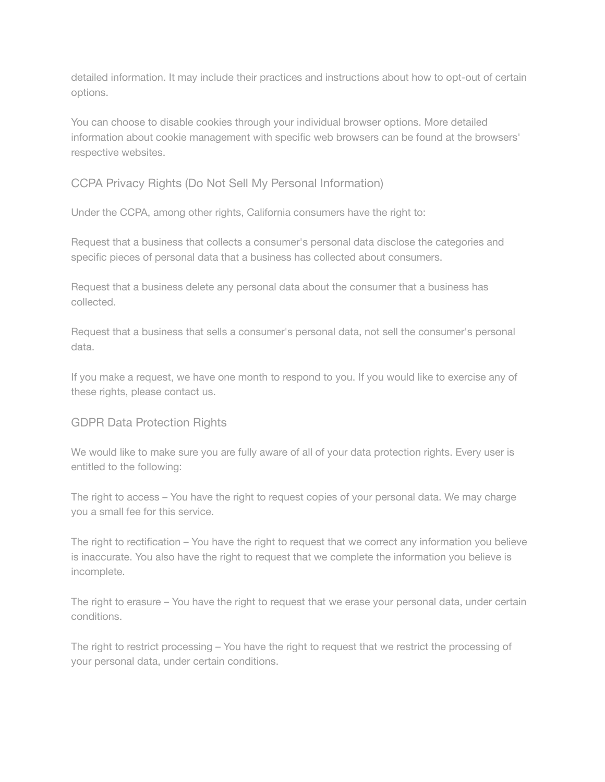detailed information. It may include their practices and instructions about how to opt-out of certain options.

You can choose to disable cookies through your individual browser options. More detailed information about cookie management with specific web browsers can be found at the browsers' respective websites.

# CCPA Privacy Rights (Do Not Sell My Personal Information)

Under the CCPA, among other rights, California consumers have the right to:

Request that a business that collects a consumer's personal data disclose the categories and specific pieces of personal data that a business has collected about consumers.

Request that a business delete any personal data about the consumer that a business has collected.

Request that a business that sells a consumer's personal data, not sell the consumer's personal data.

If you make a request, we have one month to respond to you. If you would like to exercise any of these rights, please contact us.

## GDPR Data Protection Rights

We would like to make sure you are fully aware of all of your data protection rights. Every user is entitled to the following:

The right to access – You have the right to request copies of your personal data. We may charge you a small fee for this service.

The right to rectification – You have the right to request that we correct any information you believe is inaccurate. You also have the right to request that we complete the information you believe is incomplete.

The right to erasure – You have the right to request that we erase your personal data, under certain conditions.

The right to restrict processing – You have the right to request that we restrict the processing of your personal data, under certain conditions.